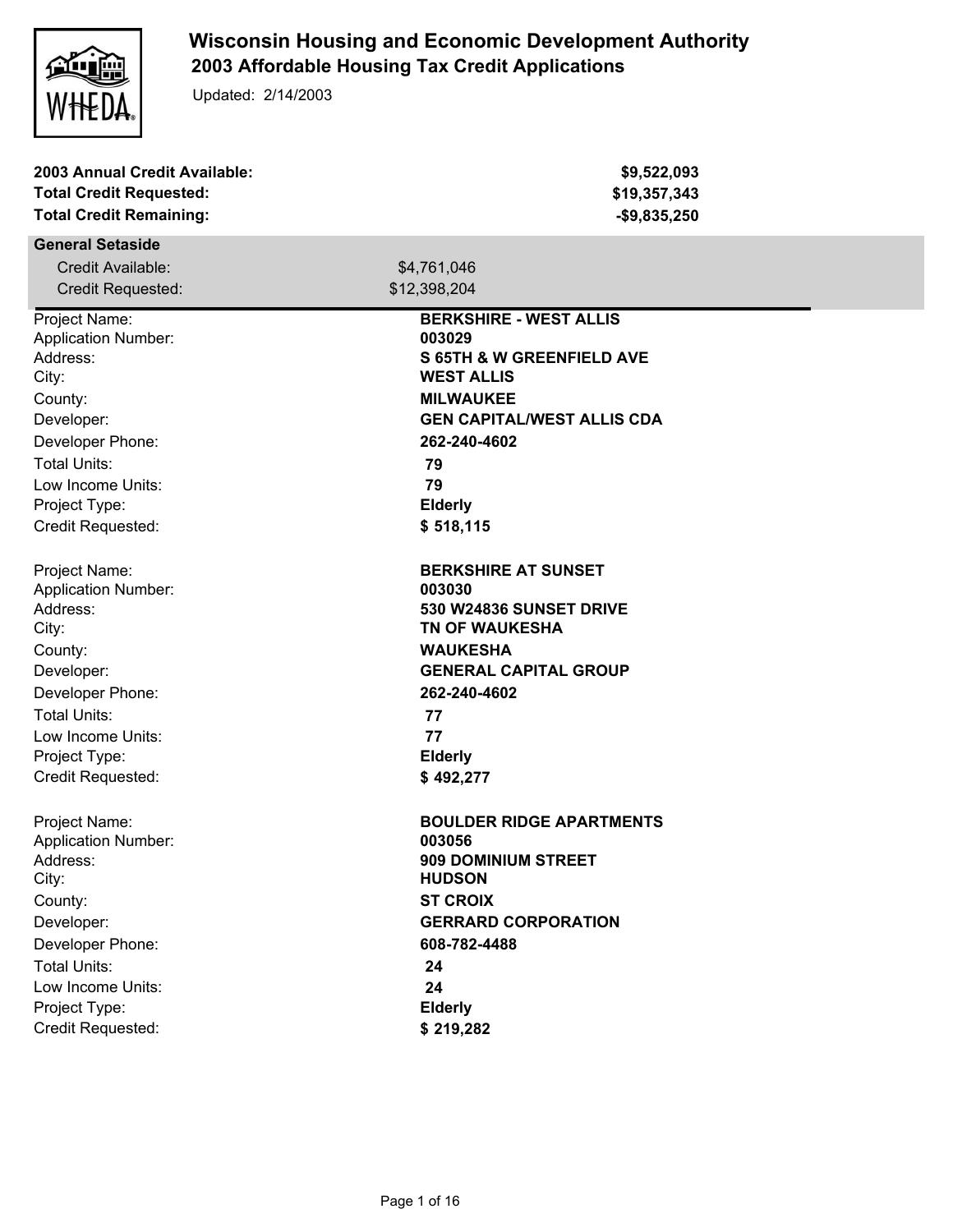

## **Wisconsin Housing and Economic Development Authority 2003 Affordable Housing Tax Credit Applications**

Updated: 2/14/2003

| 2003 Annual Credit Available:<br><b>Total Credit Requested:</b><br><b>Total Credit Remaining:</b> | \$9,522,093<br>\$19,357,343<br>$-$9,835,250$ |
|---------------------------------------------------------------------------------------------------|----------------------------------------------|
| <b>General Setaside</b>                                                                           |                                              |
| Credit Available:                                                                                 | \$4,761,046                                  |
| <b>Credit Requested:</b>                                                                          | \$12,398,204                                 |
| Project Name:                                                                                     | <b>BERKSHIRE - WEST ALLIS</b>                |
| <b>Application Number:</b>                                                                        | 003029                                       |
| Address:                                                                                          | <b>S 65TH &amp; W GREENFIELD AVE</b>         |
| City:                                                                                             | <b>WEST ALLIS</b>                            |
| County:                                                                                           | <b>MILWAUKEE</b>                             |
| Developer:                                                                                        | <b>GEN CAPITAL/WEST ALLIS CDA</b>            |
| Developer Phone:                                                                                  | 262-240-4602                                 |
| <b>Total Units:</b>                                                                               | 79                                           |
| Low Income Units:                                                                                 | 79                                           |
| Project Type:                                                                                     | <b>Elderly</b>                               |
| Credit Requested:                                                                                 | \$518,115                                    |
| Project Name:                                                                                     | <b>BERKSHIRE AT SUNSET</b>                   |
| <b>Application Number:</b>                                                                        | 003030                                       |
| Address:                                                                                          | <b>530 W24836 SUNSET DRIVE</b>               |
| City:                                                                                             | <b>TN OF WAUKESHA</b>                        |
| County:                                                                                           | <b>WAUKESHA</b>                              |
| Developer:                                                                                        | <b>GENERAL CAPITAL GROUP</b>                 |
| Developer Phone:                                                                                  | 262-240-4602                                 |
| <b>Total Units:</b>                                                                               | 77                                           |
| Low Income Units:                                                                                 | 77                                           |
| Project Type:                                                                                     | <b>Elderly</b>                               |
| Credit Requested:                                                                                 | \$492,277                                    |
| Project Name:                                                                                     | <b>BOULDER RIDGE APARTMENTS</b>              |
| <b>Application Number:</b>                                                                        | 003056                                       |
| Address:                                                                                          | 909 DOMINIUM STREET                          |
| City:                                                                                             | <b>HUDSON</b>                                |
| County:                                                                                           | <b>ST CROIX</b>                              |
| Developer:                                                                                        | <b>GERRARD CORPORATION</b>                   |
| Developer Phone:                                                                                  | 608-782-4488                                 |
| <b>Total Units:</b>                                                                               | 24                                           |
| Low Income Units:                                                                                 | 24                                           |
| Project Type:                                                                                     | <b>Elderly</b>                               |
| Credit Requested:                                                                                 | \$219,282                                    |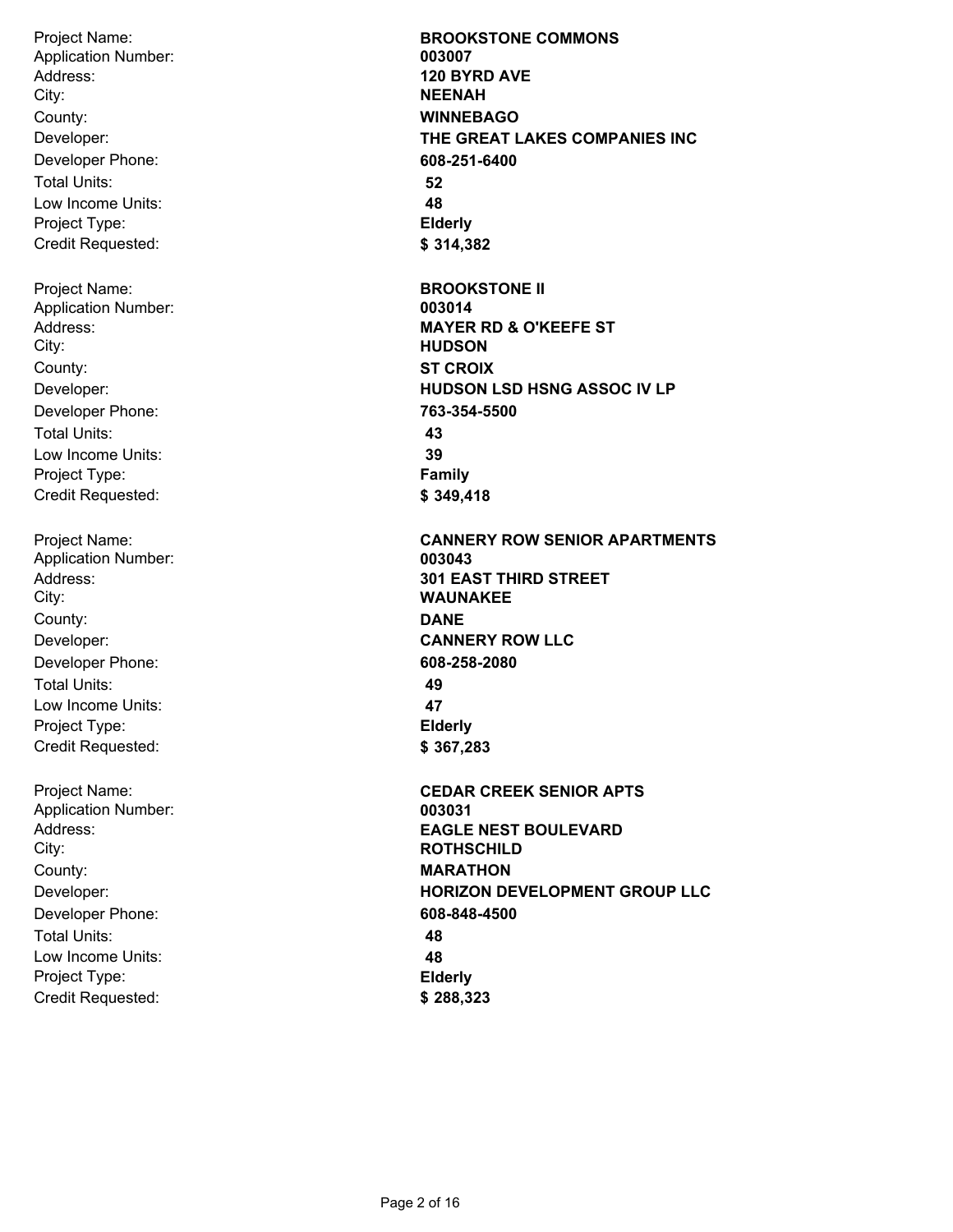Project Name: Address: City: Developer: Developer Phone: Total Units: Low Income Units: Project Type: Credit Requested: County: **WINNEBAGO** Application Number: **003007** Project Name: Address: City: Developer: Developer Phone: Total Units: Low Income Units: Project Type: Credit Requested: County: **ST CROIX** Application Number: **003014** Project Name: Address: City: Developer: Developer Phone: Total Units: Low Income Units: Project Type: Credit Requested: County: **DANE** Application Number: **003043** Project Name: Address: City: Developer: Developer Phone: Total Units: Low Income Units: Project Type: County: **MARATHON** Application Number: **003031**

Credit Requested:

**120 BYRD AVE NEENAH THE GREAT LAKES COMPANIES INC 608-251-6400 52 48 Elderly \$ 314,382 BROOKSTONE II MAYER RD & O'KEEFE ST HUDSON HUDSON LSD HSNG ASSOC IV LP 763-354-5500 43 39 Family \$ 349,418 CANNERY ROW SENIOR APARTMENTS 301 EAST THIRD STREET WAUNAKEE CANNERY ROW LLC 608-258-2080 49 47 Elderly \$ 367,283 CEDAR CREEK SENIOR APTS EAGLE NEST BOULEVARD ROTHSCHILD HORIZON DEVELOPMENT GROUP LLC 608-848-4500 48 48 Elderly \$ 288,323**

**BROOKSTONE COMMONS**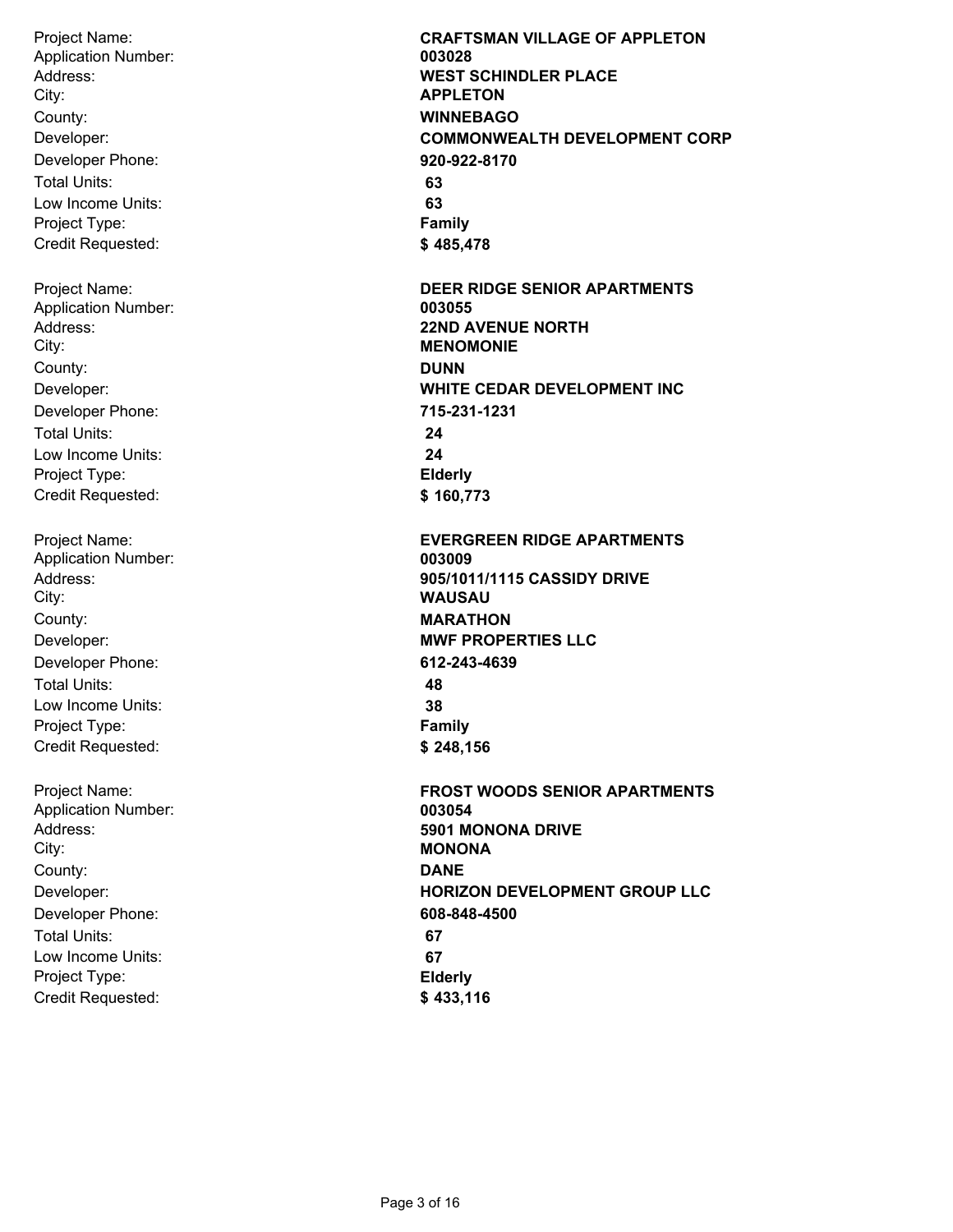Project Name: Address: City: Developer: Developer Phone: Total Units: Low Income Units: Project Type: Credit Requested: County: **WINNEBAGO** Application Number: **003028** Project Name: Address: City: Developer: Developer Phone: Total Units: Low Income Units: Project Type: Credit Requested: County: **DUNN** Application Number: **003055** Project Name: Address: City: Developer: Developer Phone: Total Units: Low Income Units: Project Type: Credit Requested: County: **MARATHON** Application Number: **003009**

Project Name: Address: City: Developer: Developer Phone: Total Units: Low Income Units: Project Type: Credit Requested: County: **DANE** Application Number: **003054**

**CRAFTSMAN VILLAGE OF APPLETON WEST SCHINDLER PLACE APPLETON COMMONWEALTH DEVELOPMENT CORP 920-922-8170 63 63 Family \$ 485,478 DEER RIDGE SENIOR APARTMENTS 22ND AVENUE NORTH MENOMONIE WHITE CEDAR DEVELOPMENT INC 715-231-1231 24 24 Elderly \$ 160,773 EVERGREEN RIDGE APARTMENTS 905/1011/1115 CASSIDY DRIVE WAUSAU MWF PROPERTIES LLC 612-243-4639 48 38 Family \$ 248,156 FROST WOODS SENIOR APARTMENTS 5901 MONONA DRIVE MONONA HORIZON DEVELOPMENT GROUP LLC 608-848-4500 67 67 Elderly \$ 433,116**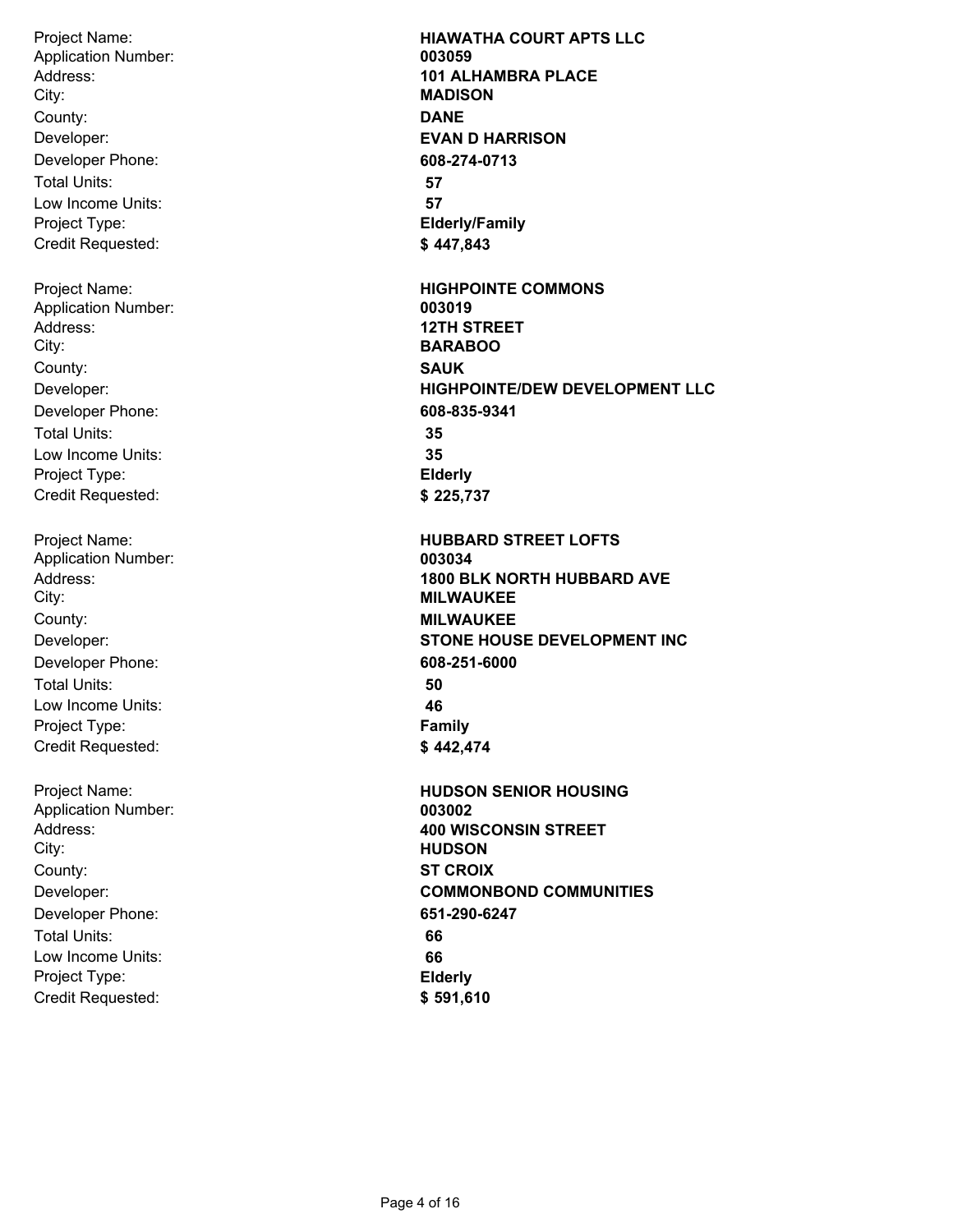Project Name: Address: City: Developer: Developer Phone: Total Units: Low Income Units: Project Type: Credit Requested: County: **DANE** Application Number: **003059** Project Name: Address: City: Developer: Developer Phone: Total Units: Low Income Units: Project Type: Credit Requested: County: **SAUK** Application Number: **003019** Project Name: Address: City: Developer: Developer Phone: Total Units: Low Income Units: Project Type: Credit Requested: County: **MILWAUKEE** Application Number: **003034** Project Name: Address: City: Application Number: **003002**

Developer: Developer Phone: Total Units: Low Income Units: Project Type: Credit Requested: County: **ST CROIX**

**HIAWATHA COURT APTS LLC 101 ALHAMBRA PLACE MADISON EVAN D HARRISON 608-274-0713 57 57 Elderly/Family \$ 447,843 HIGHPOINTE COMMONS 12TH STREET BARABOO HIGHPOINTE/DEW DEVELOPMENT LLC 608-835-9341 35 35 Elderly \$ 225,737 HUBBARD STREET LOFTS 1800 BLK NORTH HUBBARD AVE MILWAUKEE STONE HOUSE DEVELOPMENT INC 608-251-6000 50 46 Family \$ 442,474 HUDSON SENIOR HOUSING 400 WISCONSIN STREET HUDSON COMMONBOND COMMUNITIES 651-290-6247 66 66 Elderly \$ 591,610**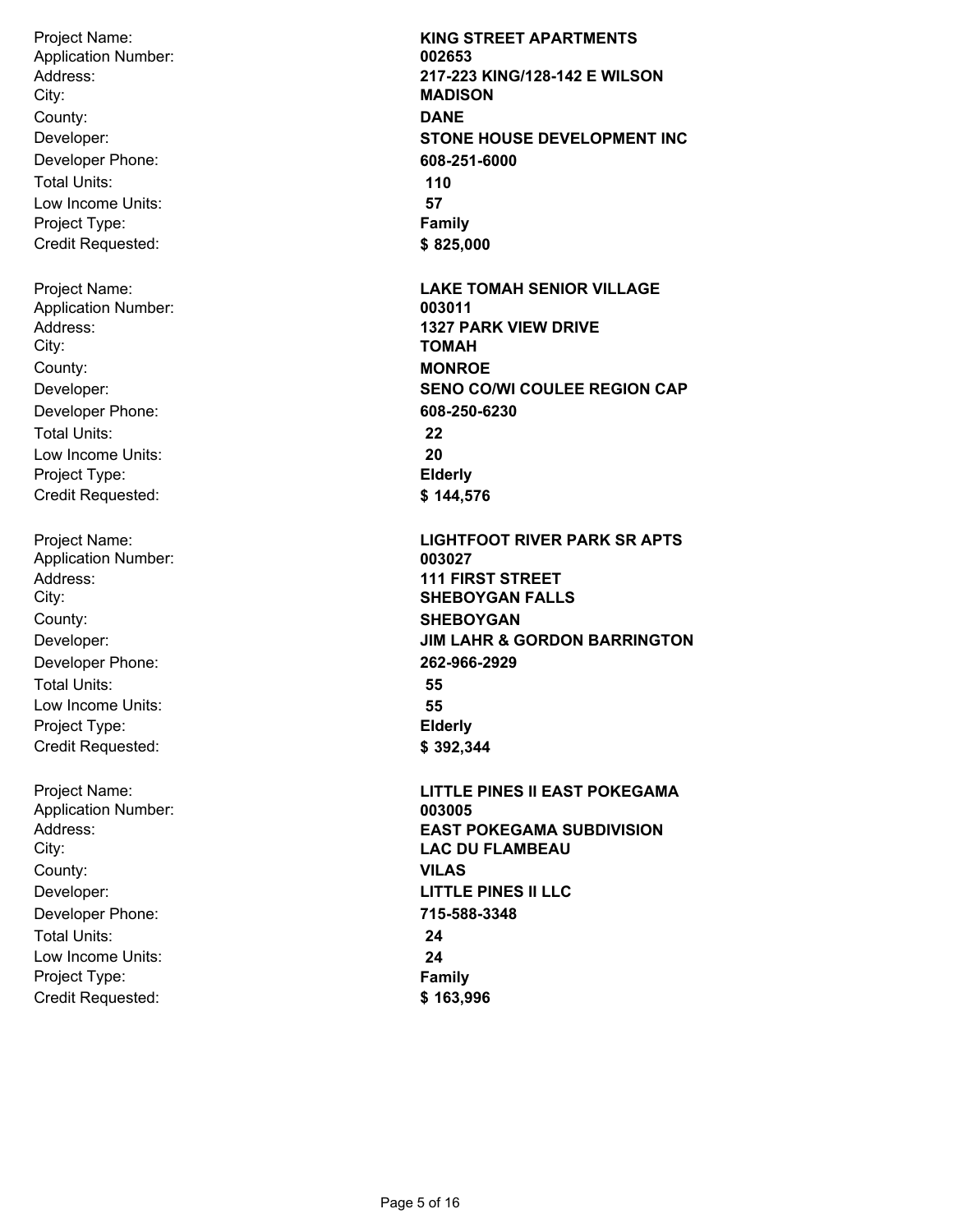Project Name: Address: City: Developer: Developer Phone: Total Units: Low Income Units: Project Type: Credit Requested: County: **DANE** Application Number: **002653** Project Name: Address: City: Developer: Developer Phone: Total Units: Low Income Units: Project Type: Credit Requested: County: **MONROE** Application Number: **003011** Project Name: Address: City: Developer: Developer Phone: Total Units: Low Income Units: Project Type: Credit Requested: County: **SHEBOYGAN** Application Number: **003027**

Project Name: Address: City: Developer: Developer Phone: Total Units: Low Income Units: Project Type: Credit Requested: County: **VILAS** Application Number: **003005**

**KING STREET APARTMENTS 217-223 KING/128-142 E WILSON MADISON STONE HOUSE DEVELOPMENT INC 608-251-6000 110 57 Family \$ 825,000 LAKE TOMAH SENIOR VILLAGE 1327 PARK VIEW DRIVE TOMAH SENO CO/WI COULEE REGION CAP 608-250-6230 22 20 Elderly \$ 144,576 LIGHTFOOT RIVER PARK SR APTS 111 FIRST STREET SHEBOYGAN FALLS JIM LAHR & GORDON BARRINGTON 262-966-2929 55 55 Elderly \$ 392,344 LITTLE PINES II EAST POKEGAMA EAST POKEGAMA SUBDIVISION LAC DU FLAMBEAU LITTLE PINES II LLC 715-588-3348 24 24 Family \$ 163,996**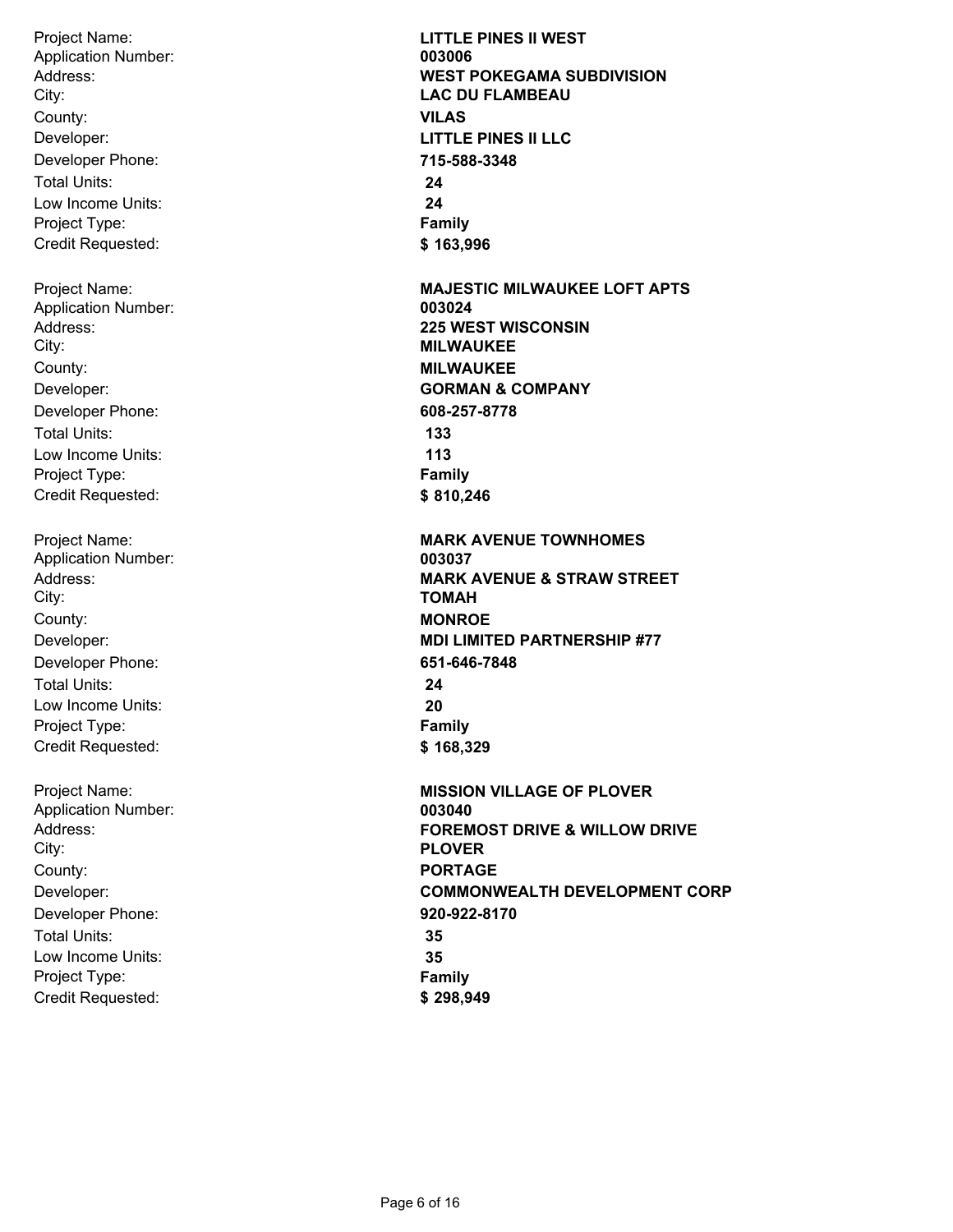Project Name: Address: City: Developer: Developer Phone: Total Units: Low Income Units: Project Type: Credit Requested: County: **VILAS** Application Number: **003006** Project Name: Address: Application Number: **003024**

City: Developer: Developer Phone: Total Units: Low Income Units: Project Type: Credit Requested: County: **MILWAUKEE**

Project Name: Address: City: Developer: Developer Phone: Total Units: Low Income Units: Project Type: Credit Requested: County: **MONROE** Application Number: **003037**

Project Name: Address: City: Developer: Developer Phone: Total Units: Low Income Units: Project Type: Credit Requested: County: **PORTAGE** Application Number: **003040**

**LITTLE PINES II WEST WEST POKEGAMA SUBDIVISION LAC DU FLAMBEAU LITTLE PINES II LLC 715-588-3348 24 24 Family \$ 163,996 MAJESTIC MILWAUKEE LOFT APTS 225 WEST WISCONSIN MILWAUKEE GORMAN & COMPANY 608-257-8778 133 113 Family \$ 810,246 MARK AVENUE TOWNHOMES MARK AVENUE & STRAW STREET TOMAH MDI LIMITED PARTNERSHIP #77 651-646-7848 24 20 Family \$ 168,329 MISSION VILLAGE OF PLOVER FOREMOST DRIVE & WILLOW DRIVE PLOVER COMMONWEALTH DEVELOPMENT CORP 920-922-8170 35 35 Family \$ 298,949**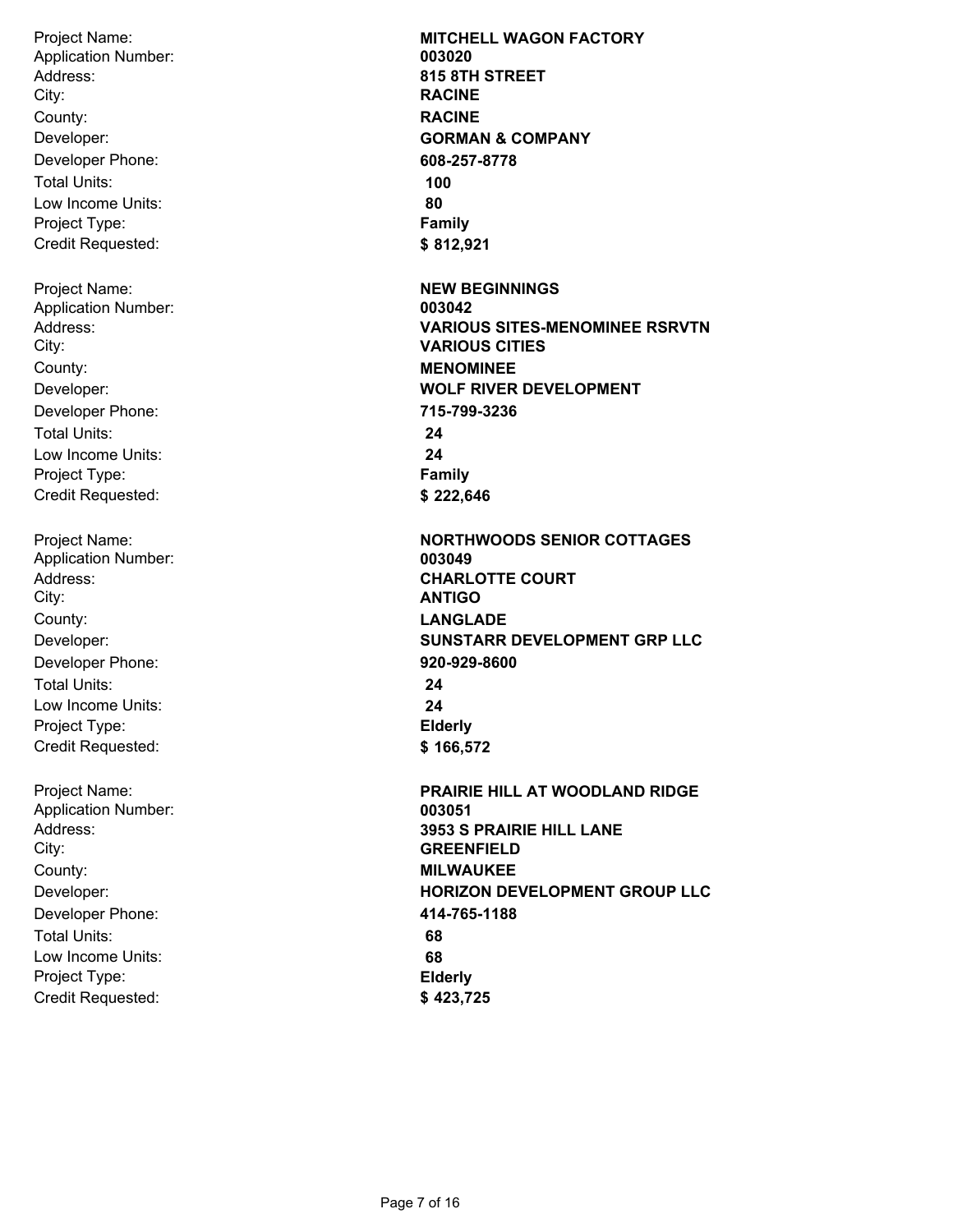Project Name: Address: City: Developer: Developer Phone: Total Units: Low Income Units: Project Type: Credit Requested: County: **RACINE** Application Number: **003020** Project Name: Address: City: Developer: Developer Phone: Total Units: Low Income Units: Project Type: Credit Requested: County: **MENOMINEE** Application Number: **003042** Project Name: Address: City: Developer: Developer Phone: Total Units: Low Income Units: Project Type: Credit Requested: County: **LANGLADE** Application Number: **003049** Project Name: Address: City: Developer: Developer Phone: Total Units: Low Income Units: County: **MILWAUKEE** Application Number: **003051**

Project Type: Credit Requested: **MITCHELL WAGON FACTORY 815 8TH STREET RACINE GORMAN & COMPANY 608-257-8778 100 80 Family \$ 812,921 NEW BEGINNINGS VARIOUS SITES-MENOMINEE RSRVTN VARIOUS CITIES WOLF RIVER DEVELOPMENT 715-799-3236 24 24 Family \$ 222,646 NORTHWOODS SENIOR COTTAGES CHARLOTTE COURT ANTIGO SUNSTARR DEVELOPMENT GRP LLC 920-929-8600 24 24 Elderly \$ 166,572 PRAIRIE HILL AT WOODLAND RIDGE 3953 S PRAIRIE HILL LANE GREENFIELD HORIZON DEVELOPMENT GROUP LLC 414-765-1188 68 68 Elderly**

**\$ 423,725**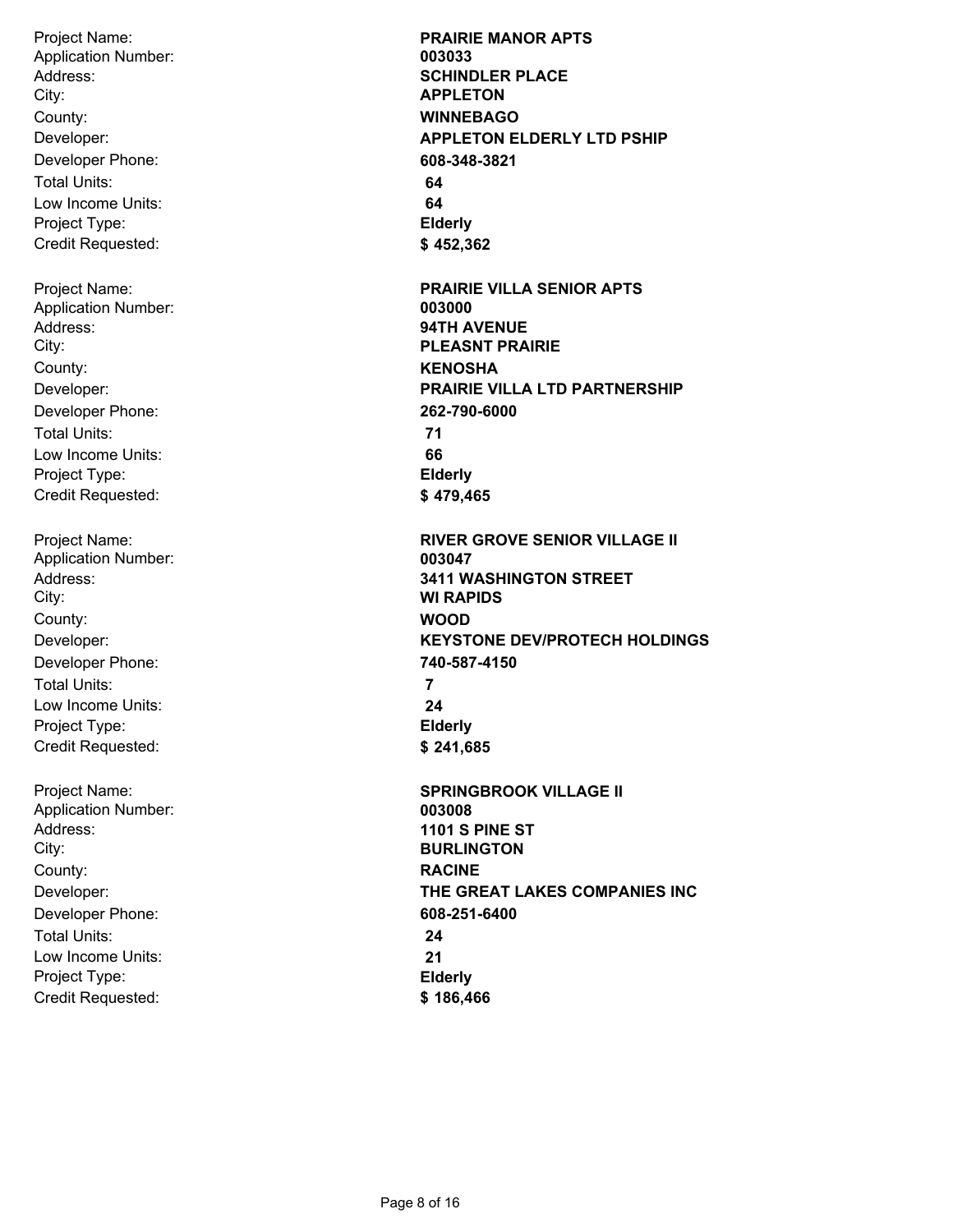Project Name: Address: City: Developer: Developer Phone: Total Units: Low Income Units: Project Type: Credit Requested: County: **WINNEBAGO** Application Number: **003033** Project Name: Address: City: Developer: Developer Phone: Total Units: Low Income Units: Project Type: Credit Requested: County: **KENOSHA** Application Number: **003000** Project Name: Address: City: Developer: Developer Phone: Total Units: Low Income Units: Project Type: Credit Requested: County: **WOOD** Application Number: **003047** Project Name: Address: City: Developer: Developer Phone: Total Units: Low Income Units: Project Type: Credit Requested: County: **RACINE** Application Number: **003008**

**PRAIRIE MANOR APTS SCHINDLER PLACE APPLETON APPLETON ELDERLY LTD PSHIP 608-348-3821 64 64 Elderly \$ 452,362 PRAIRIE VILLA SENIOR APTS 94TH AVENUE PLEASNT PRAIRIE PRAIRIE VILLA LTD PARTNERSHIP 262-790-6000 71 66 Elderly \$ 479,465 RIVER GROVE SENIOR VILLAGE II 3411 WASHINGTON STREET WI RAPIDS KEYSTONE DEV/PROTECH HOLDINGS 740-587-4150 7 24 Elderly \$ 241,685 SPRINGBROOK VILLAGE II 1101 S PINE ST BURLINGTON THE GREAT LAKES COMPANIES INC 608-251-6400 24 21 Elderly \$ 186,466**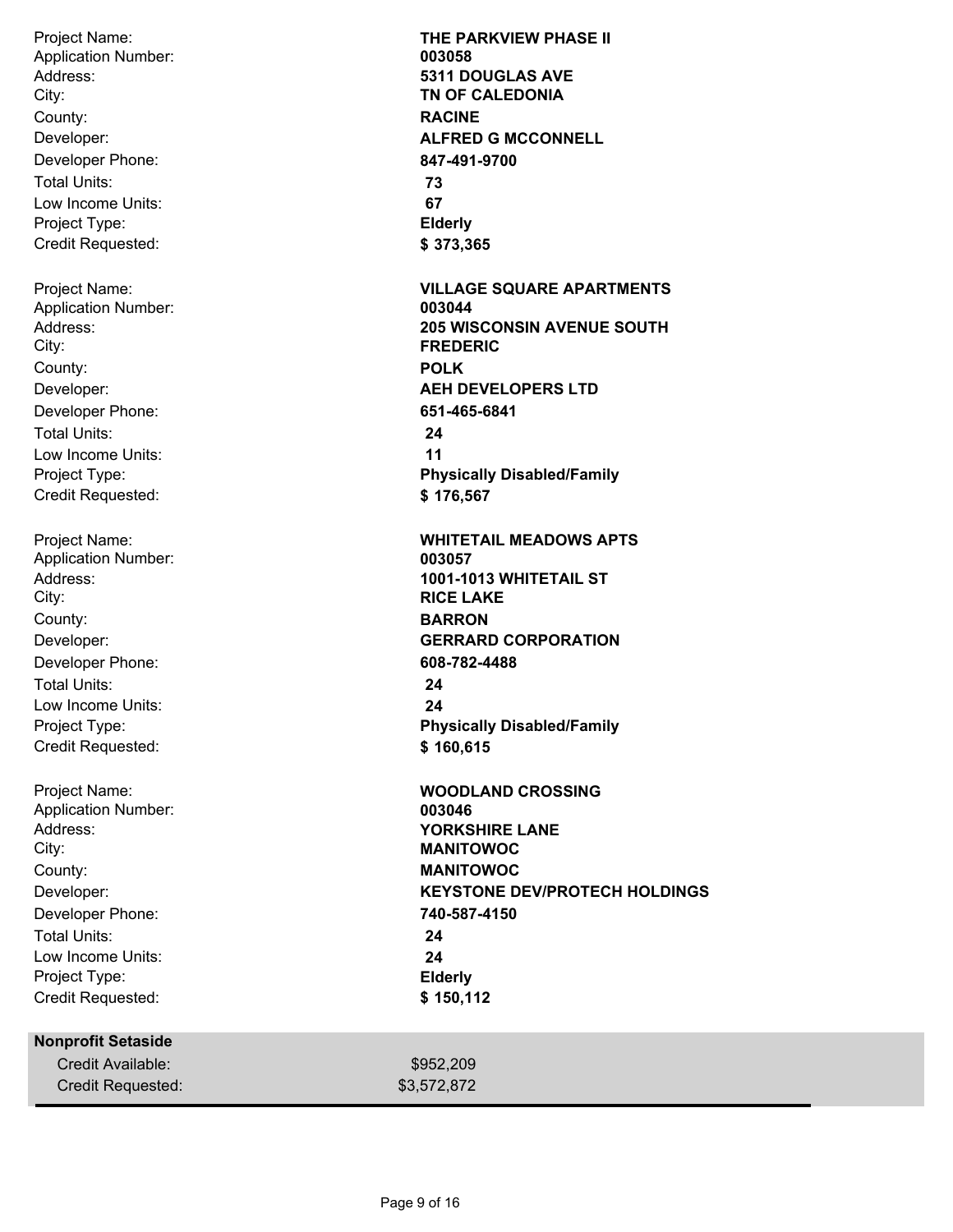Project Name: Address: City: Developer: Developer Phone: Total Units: Low Income Units: Project Type: Credit Requested: County: **RACINE** Application Number: **003058** Project Name: Address: City: Developer: Developer Phone: Total Units: Low Income Units: Project Type: Credit Requested: County: **POLK** Application Number: **003044** Project Name: Address: City: Developer: Developer Phone: Total Units: Low Income Units: Project Type: Credit Requested: County: **BARRON** Application Number: **003057** Project Name: Address: City: Developer: Developer Phone: Total Units: Low Income Units: Project Type: Credit Requested: County: **MANITOWOC** Application Number: **003046 Nonprofit Setaside** Credit Available:

**THE PARKVIEW PHASE II 5311 DOUGLAS AVE TN OF CALEDONIA ALFRED G MCCONNELL 847-491-9700 73 67 Elderly \$ 373,365 VILLAGE SQUARE APARTMENTS 205 WISCONSIN AVENUE SOUTH FREDERIC AEH DEVELOPERS LTD 651-465-6841 24 11 Physically Disabled/Family \$ 176,567 WHITETAIL MEADOWS APTS 1001-1013 WHITETAIL ST RICE LAKE GERRARD CORPORATION 608-782-4488 24 24 Physically Disabled/Family \$ 160,615 WOODLAND CROSSING YORKSHIRE LANE MANITOWOC KEYSTONE DEV/PROTECH HOLDINGS 740-587-4150 24 24 Elderly \$ 150,112**

\$952,209

Credit Requested:  $$3,572,872$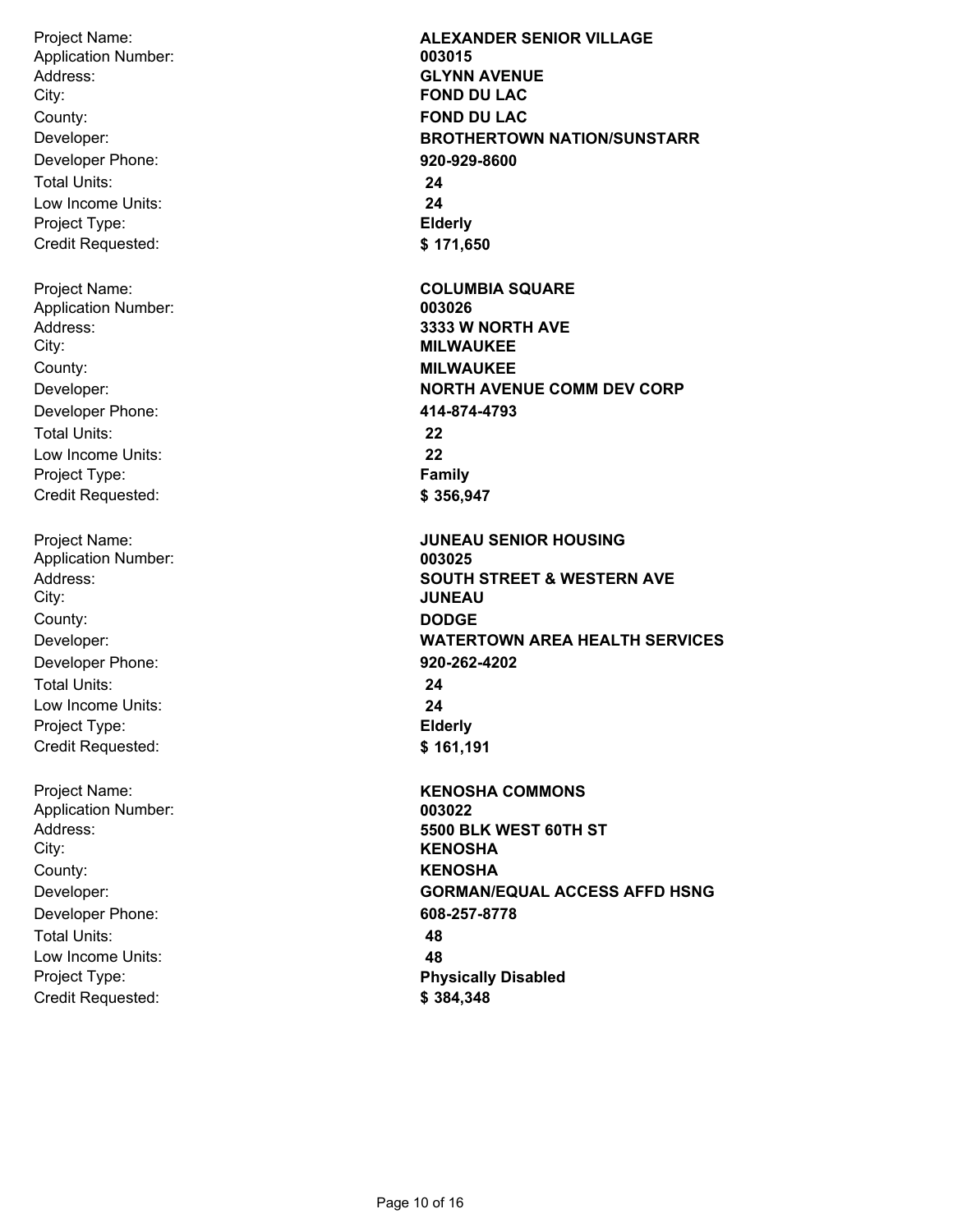Project Name: Address: City: Developer: Developer Phone: Total Units: Low Income Units: Project Type: Credit Requested: County: **FOND DU LAC** Application Number: **003015** Project Name: Address: City: Developer: Developer Phone: Total Units: Low Income Units: Project Type: Credit Requested: County: **MILWAUKEE** Application Number: **003026** Project Name: Address: City: Developer: Developer Phone: Total Units: Low Income Units: Project Type: Credit Requested: County: **DODGE** Application Number: **003025** Project Name: Address: City: Developer: Developer Phone: Total Units: Low Income Units: Project Type: Credit Requested: County: **KENOSHA** Application Number: **003022**

**ALEXANDER SENIOR VILLAGE GLYNN AVENUE FOND DU LAC BROTHERTOWN NATION/SUNSTARR 920-929-8600 24 24 Elderly \$ 171,650 COLUMBIA SQUARE 3333 W NORTH AVE MILWAUKEE NORTH AVENUE COMM DEV CORP 414-874-4793 22 22 Family \$ 356,947 JUNEAU SENIOR HOUSING SOUTH STREET & WESTERN AVE JUNEAU WATERTOWN AREA HEALTH SERVICES 920-262-4202 24 24 Elderly \$ 161,191 KENOSHA COMMONS 5500 BLK WEST 60TH ST KENOSHA GORMAN/EQUAL ACCESS AFFD HSNG 608-257-8778 48 48 Physically Disabled \$ 384,348**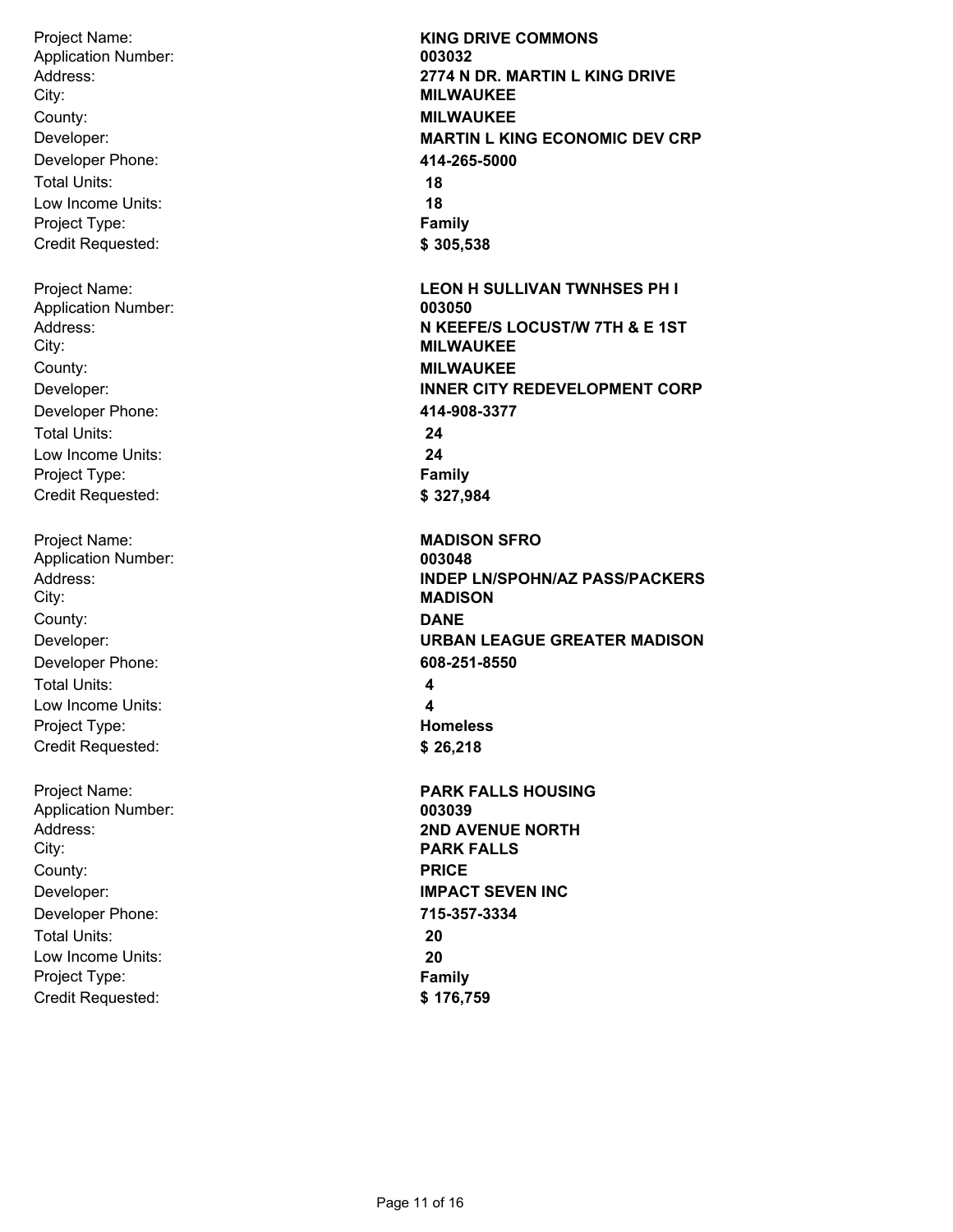Project Name: Address: City: Developer: Developer Phone: Total Units: Low Income Units: Project Type: Credit Requested: County: **MILWAUKEE** Application Number: **003032** Project Name: Address: City: Developer: Developer Phone: Total Units: Low Income Units: Project Type: Credit Requested: County: **MILWAUKEE** Application Number: **003050** Project Name: Address: City: Developer: Developer Phone: Total Units: Low Income Units: Project Type: Credit Requested: County: **DANE** Application Number: **003048** Project Name: Address: City: Developer: Developer Phone: County: **PRICE** Application Number: **003039**

Total Units: Low Income Units: Project Type: Credit Requested:

**KING DRIVE COMMONS 2774 N DR. MARTIN L KING DRIVE MILWAUKEE MARTIN L KING ECONOMIC DEV CRP 414-265-5000 18 18 Family \$ 305,538 LEON H SULLIVAN TWNHSES PH I N KEEFE/S LOCUST/W 7TH & E 1ST MILWAUKEE INNER CITY REDEVELOPMENT CORP 414-908-3377 24 24 Family \$ 327,984 MADISON SFRO INDEP LN/SPOHN/AZ PASS/PACKERS MADISON URBAN LEAGUE GREATER MADISON 608-251-8550 4 4 Homeless \$ 26,218 PARK FALLS HOUSING 2ND AVENUE NORTH PARK FALLS IMPACT SEVEN INC 715-357-3334 20 20 Family \$ 176,759**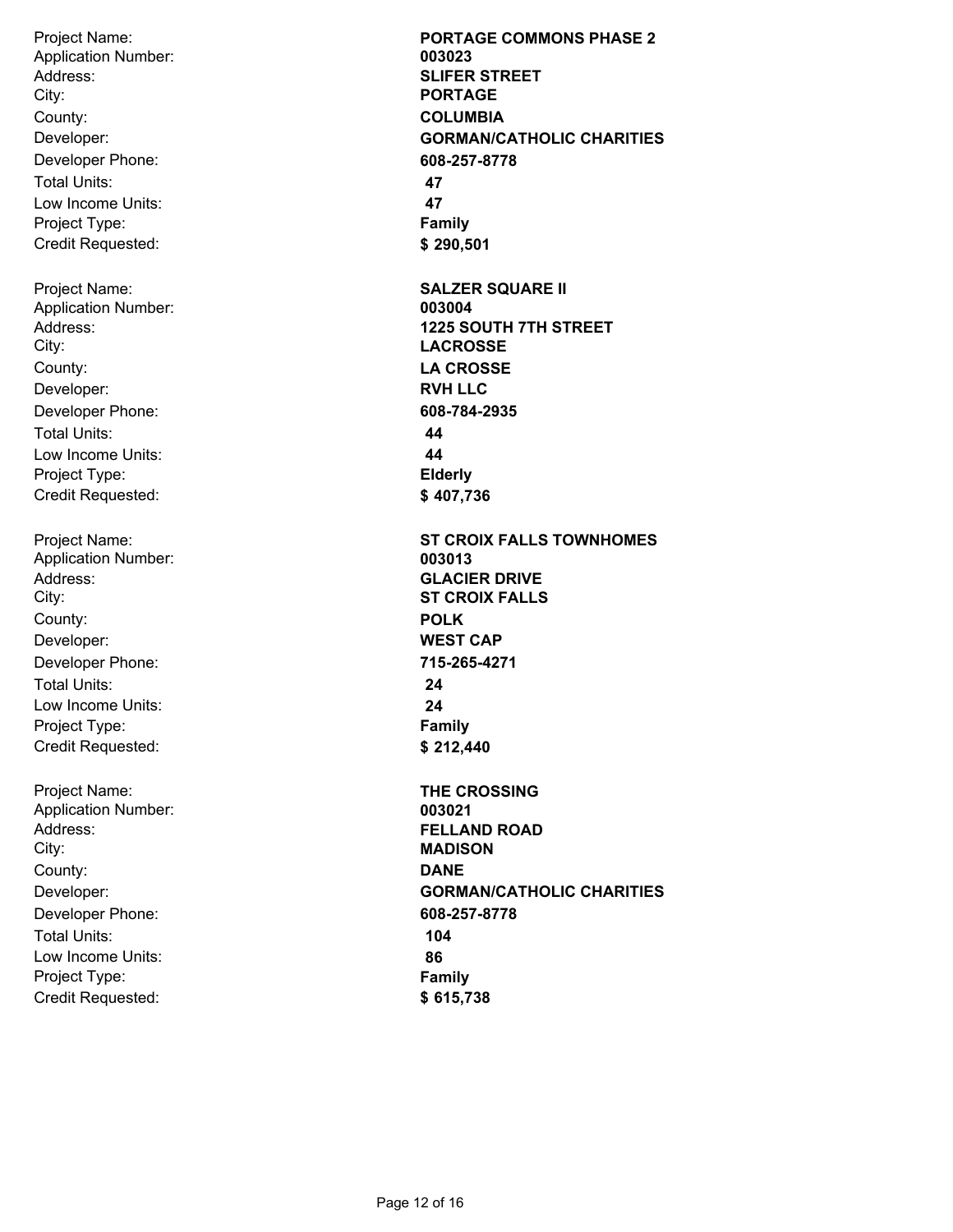Project Name: Address: City: Developer: Developer Phone: Total Units: Low Income Units: Project Type: Credit Requested: County: **COLUMBIA** Application Number: **003023** Project Name: Address: City: Developer: Developer Phone: Total Units: Low Income Units: Project Type: Credit Requested: County: **LA CROSSE** Application Number: **003004** Project Name: Address: City: Developer: Developer Phone: Total Units: Low Income Units: Project Type: Credit Requested: County: **POLK** Application Number: **003013** Project Name: Address: City: Developer: Developer Phone: Total Units: Low Income Units: Project Type: Credit Requested: County: **DANE** Application Number: **003021**

**PORTAGE COMMONS PHASE 2 SLIFER STREET PORTAGE GORMAN/CATHOLIC CHARITIES 608-257-8778 47 47 Family \$ 290,501 SALZER SQUARE II 1225 SOUTH 7TH STREET LACROSSE RVH LLC 608-784-2935 44 44 Elderly \$ 407,736 ST CROIX FALLS TOWNHOMES GLACIER DRIVE ST CROIX FALLS WEST CAP 715-265-4271 24 24 Family \$ 212,440 THE CROSSING FELLAND ROAD MADISON GORMAN/CATHOLIC CHARITIES 608-257-8778 104 86 Family \$ 615,738**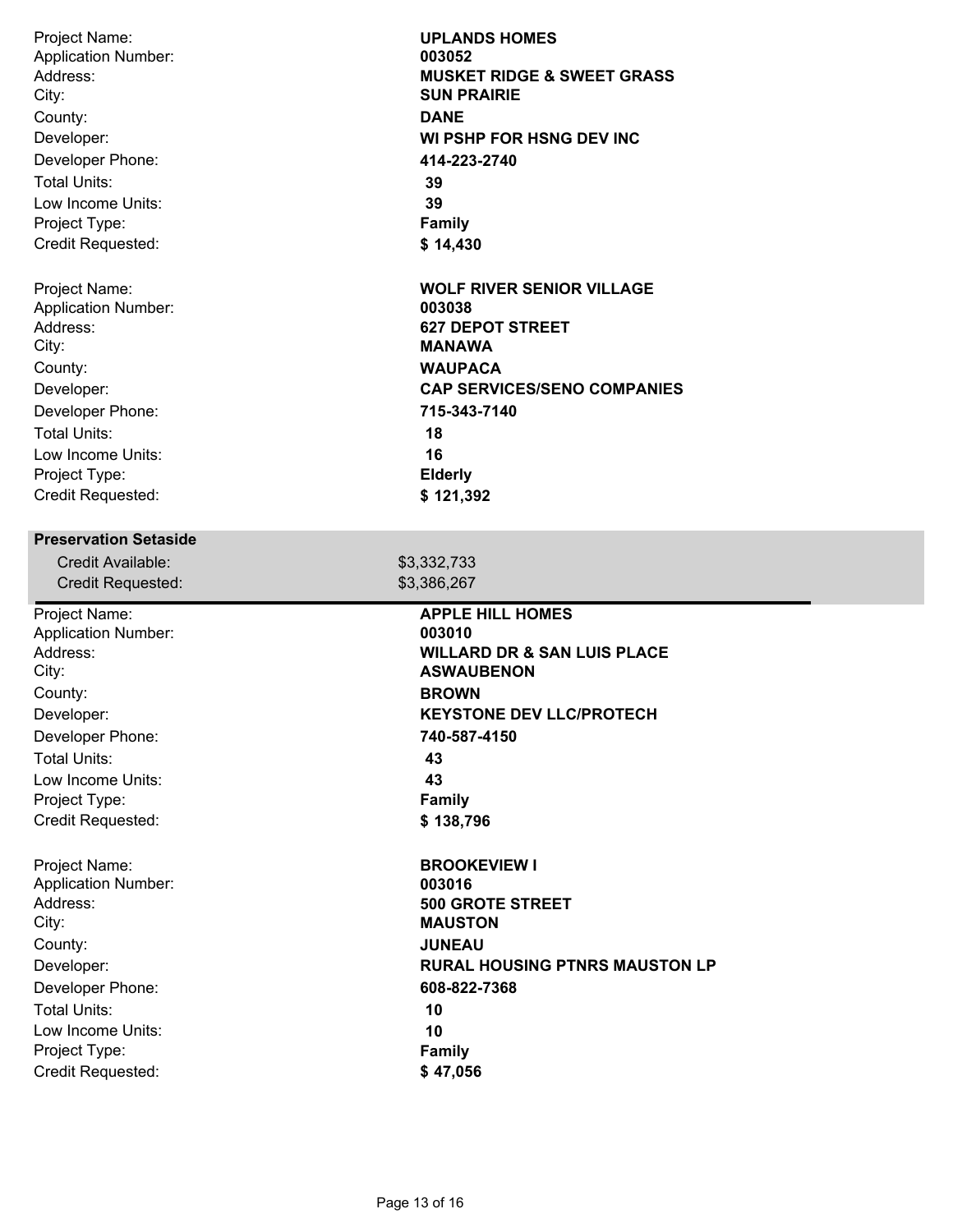| Project Name:                                                          | <b>UPLANDS HOMES</b>                   |
|------------------------------------------------------------------------|----------------------------------------|
| <b>Application Number:</b>                                             | 003052                                 |
| Address:                                                               | <b>MUSKET RIDGE &amp; SWEET GRASS</b>  |
| City:                                                                  | <b>SUN PRAIRIE</b>                     |
| County:                                                                | <b>DANE</b>                            |
| Developer:                                                             | WI PSHP FOR HSNG DEV INC               |
| Developer Phone:                                                       | 414-223-2740                           |
| <b>Total Units:</b>                                                    | 39                                     |
| Low Income Units:                                                      | 39                                     |
| Project Type:                                                          | <b>Family</b>                          |
| Credit Requested:                                                      | \$14,430                               |
| Project Name:                                                          | <b>WOLF RIVER SENIOR VILLAGE</b>       |
| <b>Application Number:</b>                                             | 003038                                 |
| Address:                                                               | <b>627 DEPOT STREET</b>                |
| City:                                                                  | <b>MANAWA</b>                          |
| County:                                                                | <b>WAUPACA</b>                         |
| Developer:                                                             | <b>CAP SERVICES/SENO COMPANIES</b>     |
| Developer Phone:                                                       | 715-343-7140                           |
| <b>Total Units:</b>                                                    | 18                                     |
| Low Income Units:                                                      | 16                                     |
| Project Type:                                                          | <b>Elderly</b>                         |
| Credit Requested:                                                      | \$121,392                              |
| <b>Preservation Setaside</b><br>Credit Available:<br>Credit Requested: | \$3,332,733<br>\$3,386,267             |
| Project Name:                                                          | <b>APPLE HILL HOMES</b>                |
| <b>Application Number:</b>                                             | 003010                                 |
| Address:                                                               | <b>WILLARD DR &amp; SAN LUIS PLACE</b> |
| City:                                                                  | <b>ASWAUBENON</b>                      |
| County:                                                                | <b>BROWN</b>                           |
| Developer:                                                             | <b>KEYSTONE DEV LLC/PROTECH</b>        |
| Developer Phone:                                                       | 740-587-4150                           |
| <b>Total Units:</b>                                                    | 43                                     |
| Low Income Units:                                                      | 43                                     |
| Project Type:                                                          | <b>Family</b>                          |
| Credit Requested:                                                      | \$138,796                              |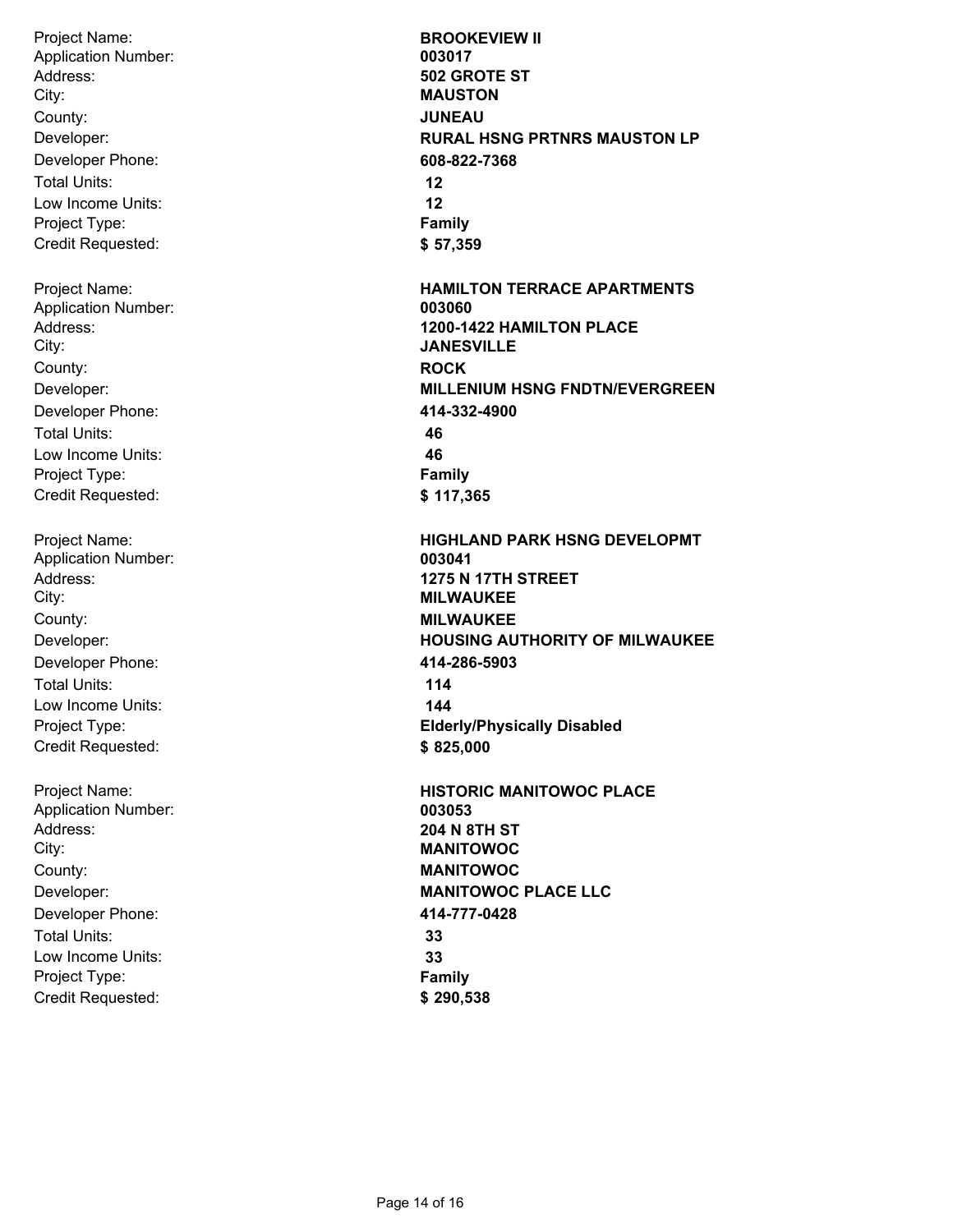Project Name: Address: City: Developer: Developer Phone: Total Units: Low Income Units: Project Type: Credit Requested: County: **JUNEAU** Application Number: **003017** Project Name: Address: City: Developer: Developer Phone: Total Units: Low Income Units: Project Type: Credit Requested: County: **ROCK** Application Number: **003060** Project Name: Address: City: Developer: Developer Phone: Total Units: Low Income Units: Project Type: Credit Requested: County: **MILWAUKEE** Application Number: **003041** Project Name: Address: City: Developer: Developer Phone: Total Units: Low Income Units: Project Type: Credit Requested: County: **MANITOWOC** Application Number: **003053**

**BROOKEVIEW II 502 GROTE ST MAUSTON RURAL HSNG PRTNRS MAUSTON LP 608-822-7368 12 12 Family \$ 57,359 HAMILTON TERRACE APARTMENTS 1200-1422 HAMILTON PLACE JANESVILLE MILLENIUM HSNG FNDTN/EVERGREEN 414-332-4900 46 46 Family \$ 117,365 HIGHLAND PARK HSNG DEVELOPMT 1275 N 17TH STREET MILWAUKEE HOUSING AUTHORITY OF MILWAUKEE 414-286-5903 114 144 Elderly/Physically Disabled \$ 825,000 HISTORIC MANITOWOC PLACE 204 N 8TH ST MANITOWOC MANITOWOC PLACE LLC 414-777-0428 33 33 Family \$ 290,538**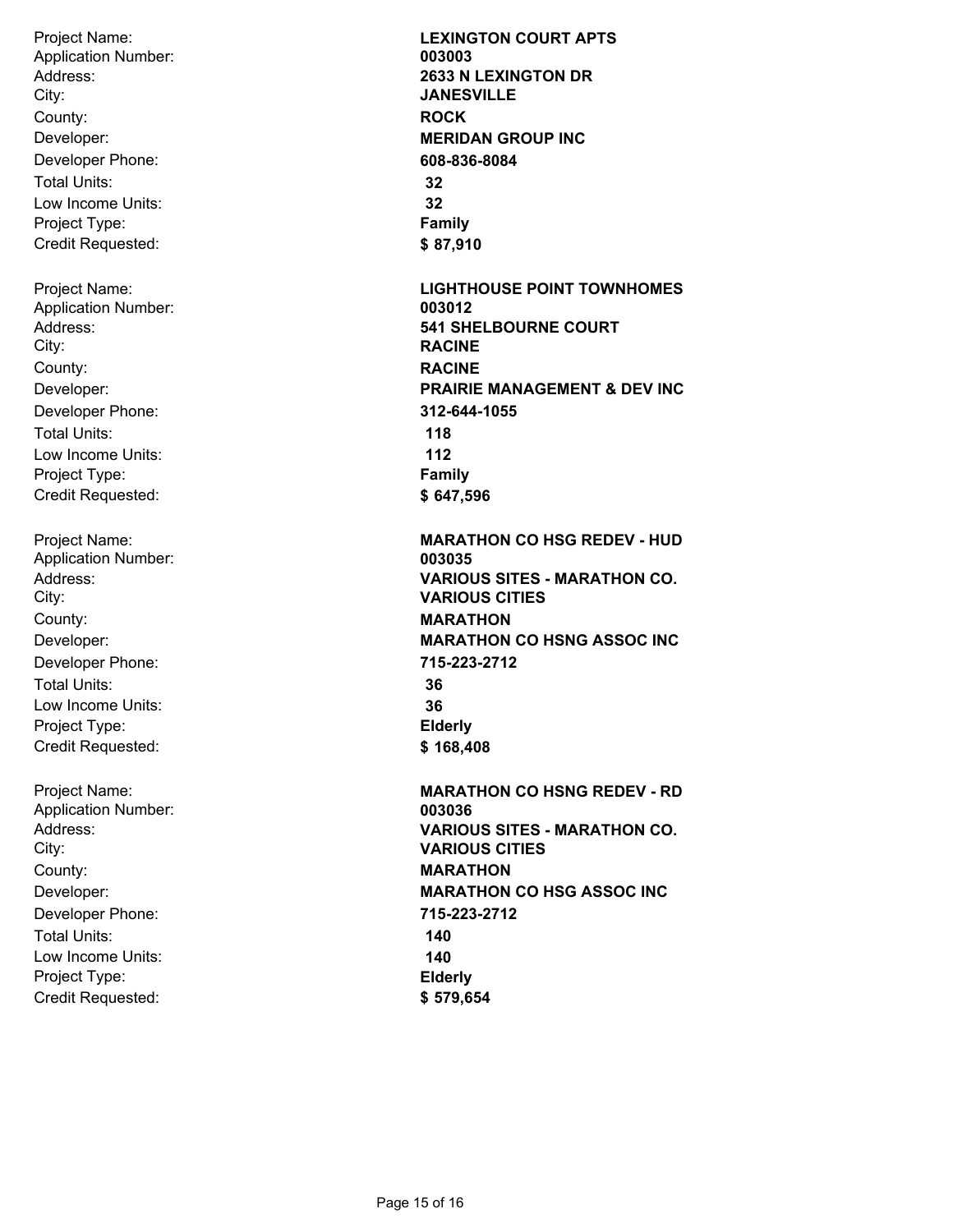Project Name: Address: City: Developer: Developer Phone: Total Units: Low Income Units: Project Type: Credit Requested: County: **ROCK** Application Number: **003003** Project Name: Address: City: Developer: Developer Phone: Total Units: Low Income Units: Project Type: Credit Requested: County: **RACINE** Application Number: **003012**

Project Name: Address: City: Developer: Developer Phone: Total Units: Low Income Units: Project Type: Credit Requested: County: **MARATHON** Application Number: **003035**

Project Name: Address: City: Developer: Developer Phone: Total Units: Low Income Units: Project Type: Credit Requested: County: **MARATHON** Application Number: **003036**

**LEXINGTON COURT APTS 2633 N LEXINGTON DR JANESVILLE MERIDAN GROUP INC 608-836-8084 32 32 Family \$ 87,910 LIGHTHOUSE POINT TOWNHOMES 541 SHELBOURNE COURT RACINE PRAIRIE MANAGEMENT & DEV INC 312-644-1055 118 112 Family \$ 647,596 MARATHON CO HSG REDEV - HUD VARIOUS SITES - MARATHON CO. VARIOUS CITIES MARATHON CO HSNG ASSOC INC 715-223-2712 36 36 Elderly \$ 168,408 MARATHON CO HSNG REDEV - RD VARIOUS SITES - MARATHON CO. VARIOUS CITIES MARATHON CO HSG ASSOC INC 715-223-2712 140 140 Elderly \$ 579,654**